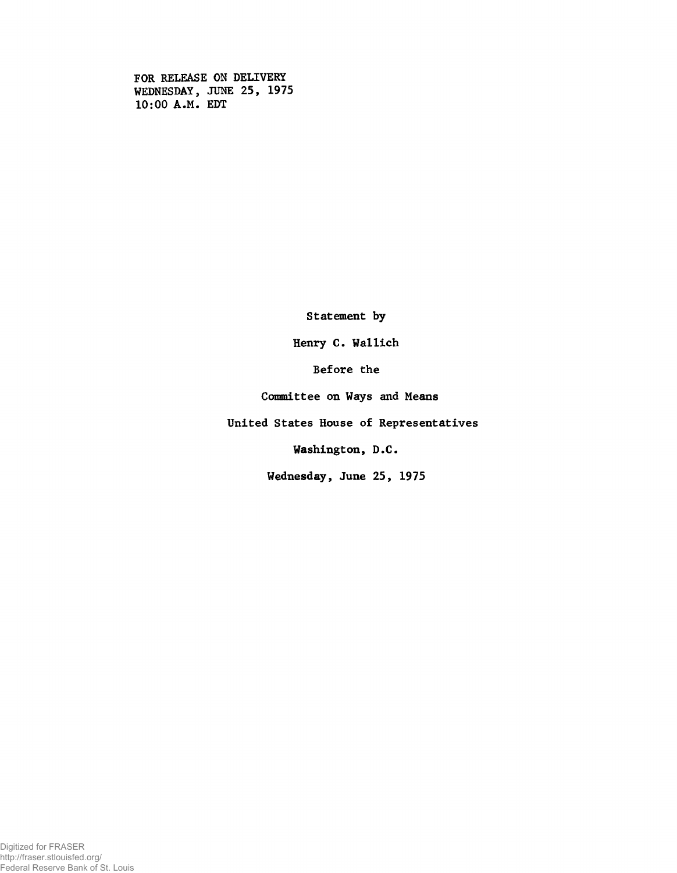FOR RELEASE ON DELIVERY WEDNESDAY, JUNE 25, 1975 10:00 A.M. EDT

Statement by

Henry C. Wallich

Before the

Committee on Ways and Means

United States House of Representatives

Washington, D.C.

Wednesday, June 25, 1975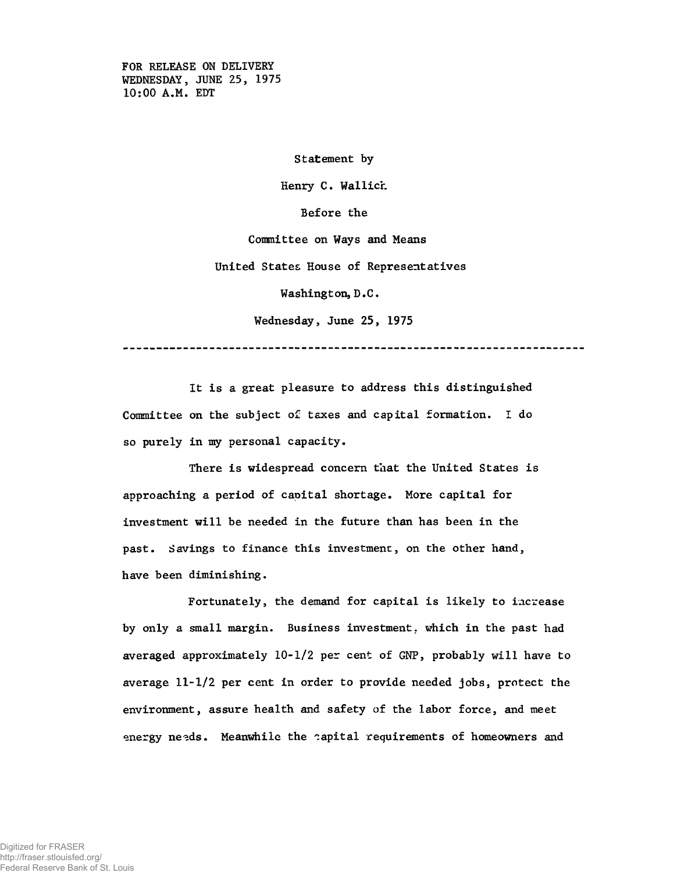FOR RELEASE ON DELIVERY WEDNESDAY, JUNE 25, 1975 10:00 A.M. EDT

Statement by

Henry C. Wallich.

Before the

Committee on Ways and Means

United States House of Representatives

Washington, D.C.

Wednesday, June 25, 1975

---------------------------------------------------------------------

It is a great pleasure to address this distinguished Committee on the subject of taxes and capital formation. I do so purely in my personal capacity.

There is widespread concern that the United States is approaching a period of capital shortage. More capital for investment will be needed in the future than has been in the past. Savings to finance this investment, on the other hand, have been diminishing.

Fortunately, the demand for capital is likely to increase by only a small margin. Business investment, which in the past had averaged approximately 10-1/2 per cent of GNP, probably will have to average 11-1/2 per cent in order to provide needed jobs, protect the environment, assure health and safety of the labor force, and meet energy needs. Meanwhile the capital requirements of homeowners and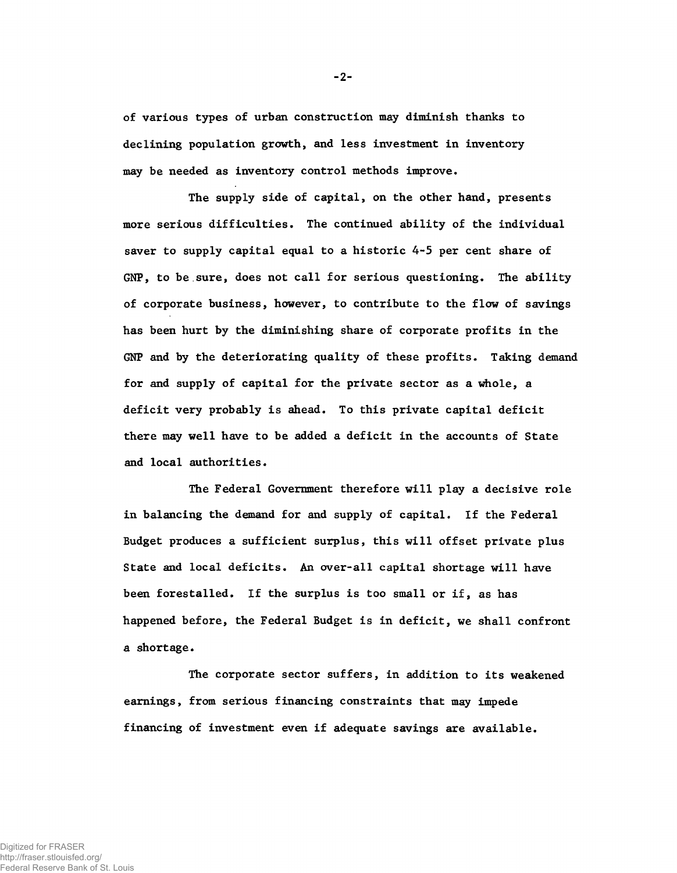of various types of urban construction may diminish thanks to declining population growth, and less investment in inventory may be needed as inventory control methods improve.

The supply side of capital, on the other hand, presents more serious difficulties. The continued ability of the individual saver to supply capital equal to a historic 4-5 per cent share of GNP, to be sure, does not call for serious questioning. The ability of corporate business, however, to contribute to the flow of savings has been hurt by the diminishing share of corporate profits in the GNP and by the deteriorating quality of these profits. Taking demand for and supply of capital for the private sector as a whole, a deficit very probably is ahead. To this private capital deficit there may well have to be added a deficit in the accounts of State and local authorities.

The Federal Government therefore will play a decisive role in balancing the demand for and supply of capital. If the Federal Budget produces a sufficient surplus, this will offset private plus State and local deficits. An over-all capital shortage will have been forestalled. If the surplus is too small or if, as has happened before, the Federal Budget is in deficit, we shall confront a shortage.

The corporate sector suffers, in addition to its weakened earnings, from serious financing constraints that may impede financing of investment even if adequate savings are available.

-2-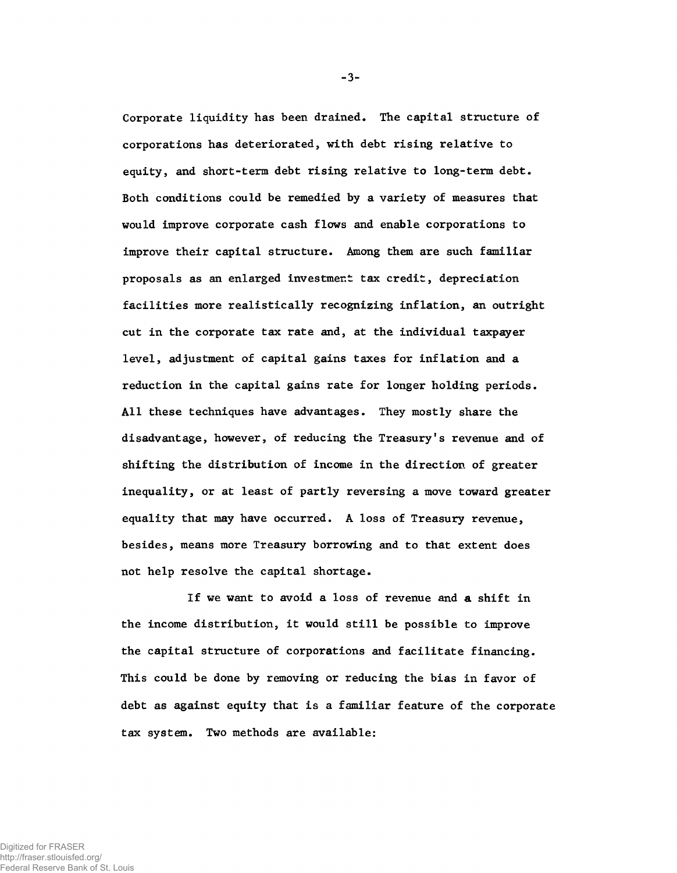Corporate liquidity has been drained. The capital structure of corporations has deteriorated, with debt rising relative to equity, and short-term debt rising relative to long-term debt. Both conditions could be remedied by a variety of measures that would improve corporate cash flows and enable corporations to improve their capital structure. Among them are such familiar proposals as an enlarged investment tax credit, depreciation facilities more realistically recognizing inflation, an outright cut in the corporate tax rate and, at the individual taxpayer level, adjustment of capital gains taxes for inflation and a reduction in the capital gains rate for longer holding periods. All these techniques have advantages. They mostly share the disadvantage, however, of reducing the Treasury's revenue and of shifting the distribution of income in the direction of greater inequality, or at least of partly reversing a move toward greater equality that may have occurred. A loss of Treasury revenue, besides, means more Treasury borrowing and to that extent does not help resolve the capital shortage.

If we want to avoid a loss of revenue and a shift in the income distribution, it would still be possible to improve the capital structure of corporations and facilitate financing. This could be done by removing or reducing the bias in favor of debt as against equity that is a familiar feature of the corporate tax system. Two methods are available:

-3-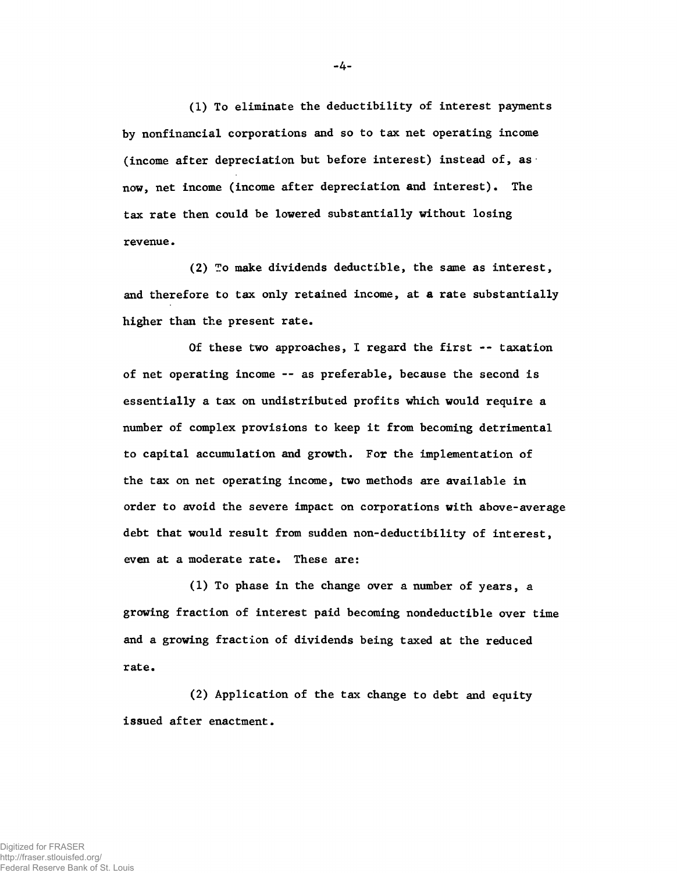(1) To eliminate the deductibility of interest payments by nonfinancial corporations and so to tax net operating income (income after depreciation but before interest) instead of, as now, net income (income after depreciation and interest). The tax rate then could be lowered substantially without losing revenue.

(2) To make dividends deductible, the same as interest, and therefore to tax only retained income, at a rate substantially higher than the present rate.

Of these two approaches, I regard the first -- taxation of net operating income — as preferable, because the second is essentially a tax on undistributed profits which would require a number of complex provisions to keep it from becoming detrimental to capital accumulation and growth. For the implementation of the tax on net operating income, two methods are available in order to avoid the severe impact on corporations with above-average debt that would result from sudden non-deductibility of interest, even at a moderate rate. These are:

(1) To phase in the change over a number of years, a growing fraction of interest paid becoming nondeductible over time and a growing fraction of dividends being taxed at the reduced rate.

(2) Application of the tax change to debt and equity issued after enactment.

-4-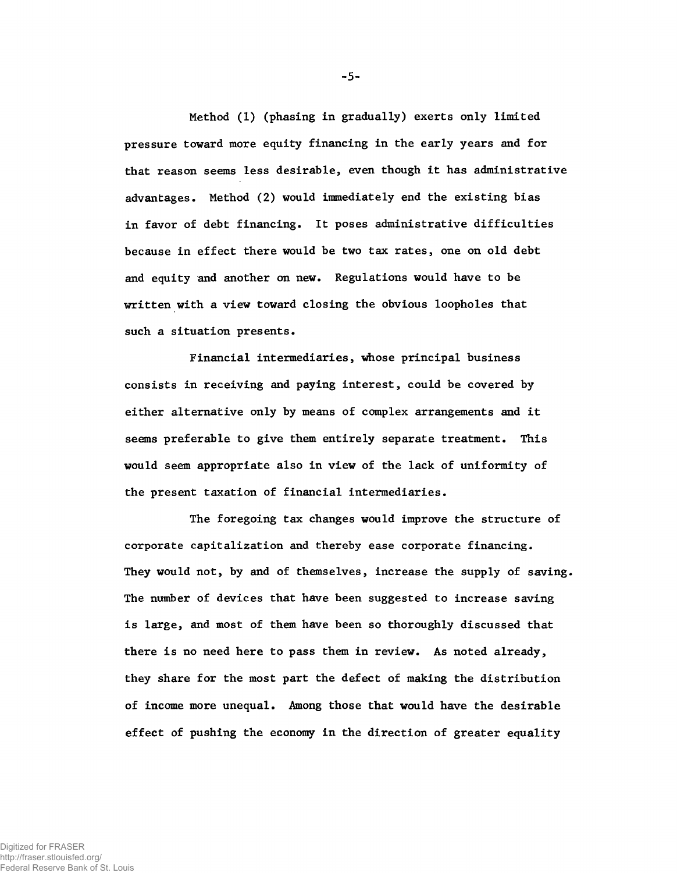Method (1) (phasing in gradually) exerts only limited pressure toward more equity financing in the early years and for that reason seems less desirable, even though it has administrative advantages. Method (2) would immediately end the existing bias in favor of debt financing. It poses administrative difficulties because in effect there would be two tax rates, one on old debt and equity and another on new. Regulations would have to be written with a view toward closing the obvious loopholes that such a situation presents.

Financial intermediaries, whose principal business consists in receiving and paying interest, could be covered by either alternative only by means of complex arrangements and it seems preferable to give them entirely separate treatment. This would seem appropriate also in view of the lack of uniformity of the present taxation of financial intermediaries.

The foregoing tax changes would improve the structure of corporate capitalization and thereby ease corporate financing. They would not, by and of themselves, increase the supply of saving. The number of devices that have been suggested to increase saving is large, and most of them have been so thoroughly discussed that there is no need here to pass them in review. As noted already, they share for the most part the defect of making the distribution of income more unequal. Among those that would have the desirable effect of pushing the economy in the direction of greater equality

-5-